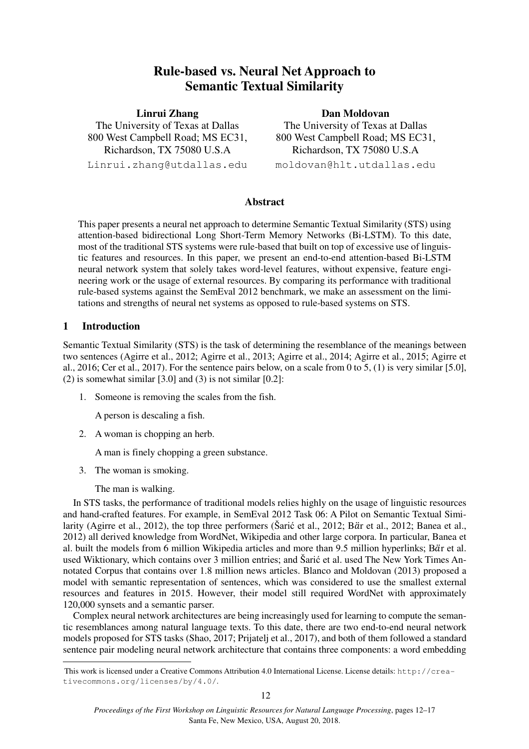# **Rule-based vs. Neural Net Approach to Semantic Textual Similarity**

**Linrui Zhang**  The University of Texas at Dallas 800 West Campbell Road; MS EC31, Richardson, TX 75080 U.S.A Linrui.zhang@utdallas.edu

**Dan Moldovan**  The University of Texas at Dallas 800 West Campbell Road; MS EC31, Richardson, TX 75080 U.S.A

moldovan@hlt.utdallas.edu

# **Abstract**

This paper presents a neural net approach to determine Semantic Textual Similarity (STS) using attention-based bidirectional Long Short-Term Memory Networks (Bi-LSTM). To this date, most of the traditional STS systems were rule-based that built on top of excessive use of linguistic features and resources. In this paper, we present an end-to-end attention-based Bi-LSTM neural network system that solely takes word-level features, without expensive, feature engineering work or the usage of external resources. By comparing its performance with traditional rule-based systems against the SemEval 2012 benchmark, we make an assessment on the limitations and strengths of neural net systems as opposed to rule-based systems on STS.

# **1 Introduction**

Semantic Textual Similarity (STS) is the task of determining the resemblance of the meanings between two sentences (Agirre et al., 2012; Agirre et al., 2013; Agirre et al., 2014; Agirre et al., 2015; Agirre et al., 2016; Cer et al., 2017). For the sentence pairs below, on a scale from 0 to 5, (1) is very similar [5.0], (2) is somewhat similar  $[3.0]$  and (3) is not similar  $[0.2]$ :

1. Someone is removing the scales from the fish.

A person is descaling a fish.

2. A woman is chopping an herb.

A man is finely chopping a green substance.

3. The woman is smoking.

The man is walking.

In STS tasks, the performance of traditional models relies highly on the usage of linguistic resources and hand-crafted features. For example, in SemEval 2012 Task 06: A Pilot on Semantic Textual Similarity (Agirre et al., 2012), the top three performers (Šarić et al., 2012; Bär et al., 2012; Banea et al., 2012) all derived knowledge from WordNet, Wikipedia and other large corpora. In particular, Banea et al. built the models from 6 million Wikipedia articles and more than 9.5 million hyperlinks; Bär et al. used Wiktionary, which contains over 3 million entries; and Šarić et al. used The New York Times Annotated Corpus that contains over 1.8 million news articles. Blanco and Moldovan (2013) proposed a model with semantic representation of sentences, which was considered to use the smallest external resources and features in 2015. However, their model still required WordNet with approximately 120,000 synsets and a semantic parser.

Complex neural network architectures are being increasingly used for learning to compute the semantic resemblances among natural language texts. To this date, there are two end-to-end neural network models proposed for STS tasks (Shao, 2017; Prijatelj et al., 2017), and both of them followed a standard sentence pair modeling neural network architecture that contains three components: a word embedding

 This work is licensed under a Creative Commons Attribution 4.0 International License. License details: http://creativecommons.org/licenses/by/4.0/.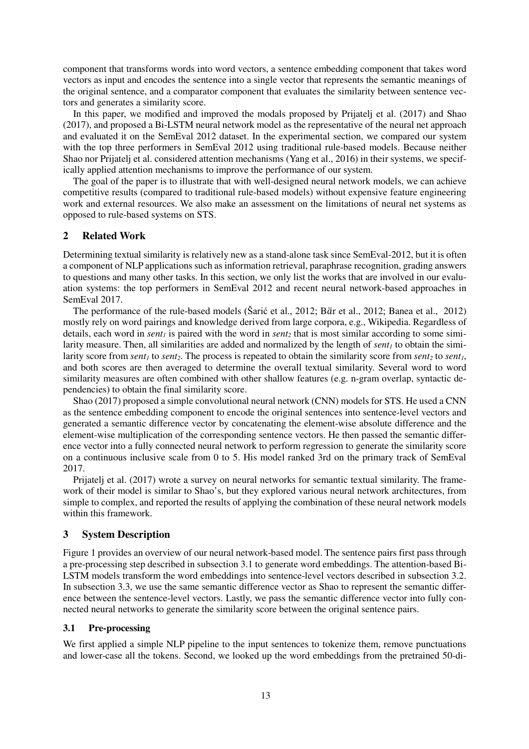component that transforms words into word vectors, a sentence embedding component that takes word vectors as input and encodes the sentence into a single vector that represents the semantic meanings of the original sentence, and a comparator component that evaluates the similarity between sentence vectors and generates a similarity score.

In this paper, we modified and improved the modals proposed by Prijatelj et al. (2017) and Shao (2017), and proposed a Bi-LSTM neural network model as the representative of the neural net approach and evaluated it on the SemEval 2012 dataset. In the experimental section, we compared our system with the top three performers in SemEval 2012 using traditional rule-based models. Because neither Shao nor Prijatelj et al. considered attention mechanisms (Yang et al., 2016) in their systems, we specifically applied attention mechanisms to improve the performance of our system.

The goal of the paper is to illustrate that with well-designed neural network models, we can achieve competitive results (compared to traditional rule-based models) without expensive feature engineering work and external resources. We also make an assessment on the limitations of neural net systems as opposed to rule-based systems on STS.

# **2 Related Work**

Determining textual similarity is relatively new as a stand-alone task since SemEval-2012, but it is often a component of NLP applications such as information retrieval, paraphrase recognition, grading answers to questions and many other tasks. In this section, we only list the works that are involved in our evaluation systems: the top performers in SemEval 2012 and recent neural network-based approaches in SemEval 2017.

The performance of the rule-based models (Šarić et al., 2012; Bär et al., 2012; Banea et al., 2012) mostly rely on word pairings and knowledge derived from large corpora, e.g., Wikipedia. Regardless of details, each word in *sent1* is paired with the word in *sent2* that is most similar according to some similarity measure. Then, all similarities are added and normalized by the length of *sent1* to obtain the similarity score from *sent<sub>1</sub>* to *sent<sub>1</sub>*. The process is repeated to obtain the similarity score from *sent<sub>2</sub>* to *sent<sub>1</sub>*, and both scores are then averaged to determine the overall textual similarity. Several word to word similarity measures are often combined with other shallow features (e.g. n-gram overlap, syntactic dependencies) to obtain the final similarity score.

Shao (2017) proposed a simple convolutional neural network (CNN) models for STS. He used a CNN as the sentence embedding component to encode the original sentences into sentence-level vectors and generated a semantic difference vector by concatenating the element-wise absolute difference and the element-wise multiplication of the corresponding sentence vectors. He then passed the semantic difference vector into a fully connected neural network to perform regression to generate the similarity score on a continuous inclusive scale from 0 to 5. His model ranked 3rd on the primary track of SemEval 2017.

Prijatelj et al. (2017) wrote a survey on neural networks for semantic textual similarity. The framework of their model is similar to Shao's, but they explored various neural network architectures, from simple to complex, and reported the results of applying the combination of these neural network models within this framework.

# **3 System Description**

Figure 1 provides an overview of our neural network-based model. The sentence pairs first pass through a pre-processing step described in subsection 3.1 to generate word embeddings. The attention-based Bi-LSTM models transform the word embeddings into sentence-level vectors described in subsection 3.2. In subsection 3.3, we use the same semantic difference vector as Shao to represent the semantic difference between the sentence-level vectors. Lastly, we pass the semantic difference vector into fully connected neural networks to generate the similarity score between the original sentence pairs.

# **3.1 Pre-processing**

We first applied a simple NLP pipeline to the input sentences to tokenize them, remove punctuations and lower-case all the tokens. Second, we looked up the word embeddings from the pretrained 50-di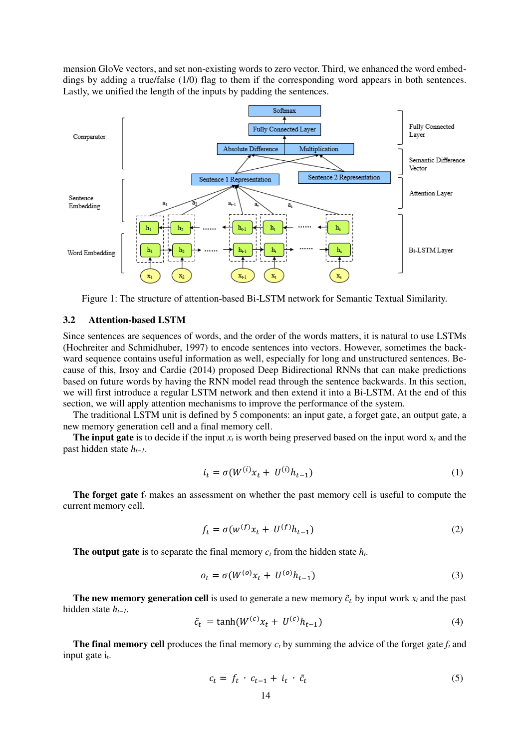mension GloVe vectors, and set non-existing words to zero vector. Third, we enhanced the word embeddings by adding a true/false (1/0) flag to them if the corresponding word appears in both sentences. Lastly, we unified the length of the inputs by padding the sentences.



Figure 1: The structure of attention-based Bi-LSTM network for Semantic Textual Similarity.

#### **3.2 Attention-based LSTM**

Since sentences are sequences of words, and the order of the words matters, it is natural to use LSTMs (Hochreiter and Schmidhuber, 1997) to encode sentences into vectors. However, sometimes the backward sequence contains useful information as well, especially for long and unstructured sentences. Because of this, Irsoy and Cardie (2014) proposed Deep Bidirectional RNNs that can make predictions based on future words by having the RNN model read through the sentence backwards. In this section, we will first introduce a regular LSTM network and then extend it into a Bi-LSTM. At the end of this section, we will apply attention mechanisms to improve the performance of the system.

The traditional LSTM unit is defined by 5 components: an input gate, a forget gate, an output gate, a new memory generation cell and a final memory cell.

**The input gate** is to decide if the input  $x_t$  is worth being preserved based on the input word  $x_t$  and the past hidden state *ht−1*.

$$
i_t = \sigma(W^{(i)}x_t + U^{(i)}h_{t-1})
$$
\n(1)

**The forget gate** f*t* makes an assessment on whether the past memory cell is useful to compute the current memory cell.

$$
f_t = \sigma(w^{(f)}x_t + U^{(f)}h_{t-1})
$$
\n(2)

**The output gate** is to separate the final memory *ct* from the hidden state *ht*.

$$
o_t = \sigma(W^{(o)}x_t + U^{(o)}h_{t-1})
$$
\n(3)

**The new memory generation cell** is used to generate a new memory  $\tilde{c}_t$  by input work  $x_t$  and the past hidden state *ht−1*.

$$
\tilde{c}_t = \tanh(W^{(c)}x_t + U^{(c)}h_{t-1})\tag{4}
$$

**The final memory cell** produces the final memory *ct* by summing the advice of the forget gate *ft* and input gate  $i_t$ .

$$
c_t = f_t \cdot c_{t-1} + i_t \cdot \tilde{c}_t \tag{5}
$$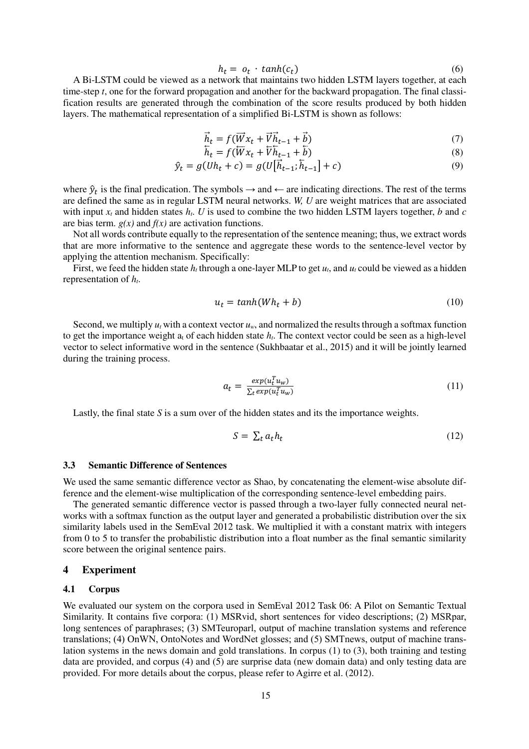$$
h_t = o_t \cdot \tanh(c_t) \tag{6}
$$

A Bi-LSTM could be viewed as a network that maintains two hidden LSTM layers together, at each time-step *t*, one for the forward propagation and another for the backward propagation. The final classification results are generated through the combination of the score results produced by both hidden layers. The mathematical representation of a simplified Bi-LSTM is shown as follows:

$$
\vec{h}_t = f(\vec{W}x_t + \vec{V}\vec{h}_{t-1} + \vec{b})\tag{7}
$$

$$
\overleftarrow{h}_t = f(\overleftarrow{W}x_t + \overleftarrow{V}\overleftarrow{h}_{t-1} + \overleftarrow{b})
$$
\n(8)

$$
\hat{y}_t = g(Uh_t + c) = g(U[\vec{h}_{t-1}; \vec{h}_{t-1}] + c)
$$
\n(9)

where  $\hat{y}_t$  is the final predication. The symbols  $\rightarrow$  and  $\leftarrow$  are indicating directions. The rest of the terms are defined the same as in regular LSTM neural networks. *W, U* are weight matrices that are associated with input  $x_t$  and hidden states  $h_t$ . *U* is used to combine the two hidden LSTM layers together, *b* and *c* are bias term. *g(x)* and *f(x)* are activation functions.

Not all words contribute equally to the representation of the sentence meaning; thus, we extract words that are more informative to the sentence and aggregate these words to the sentence-level vector by applying the attention mechanism. Specifically:

First, we feed the hidden state  $h_t$  through a one-layer MLP to get  $u_t$ , and  $u_t$  could be viewed as a hidden representation of *ht*.

$$
u_t = \tanh(Wh_t + b) \tag{10}
$$

Second, we multiply  $u_t$  with a context vector  $u_w$ , and normalized the results through a softmax function to get the importance weight  $a_t$  of each hidden state  $h_t$ . The context vector could be seen as a high-level vector to select informative word in the sentence (Sukhbaatar et al., 2015) and it will be jointly learned during the training process.

$$
a_t = \frac{exp(u_t^T u_w)}{\sum_t exp(u_t^T u_w)}
$$
(11)

Lastly, the final state *S* is a sum over of the hidden states and its the importance weights.

$$
S = \sum_{t} a_{t} h_{t} \tag{12}
$$

#### **3.3 Semantic Difference of Sentences**

We used the same semantic difference vector as Shao, by concatenating the element-wise absolute difference and the element-wise multiplication of the corresponding sentence-level embedding pairs.

The generated semantic difference vector is passed through a two-layer fully connected neural networks with a softmax function as the output layer and generated a probabilistic distribution over the six similarity labels used in the SemEval 2012 task. We multiplied it with a constant matrix with integers from 0 to 5 to transfer the probabilistic distribution into a float number as the final semantic similarity score between the original sentence pairs.

#### **4 Experiment**

#### **4.1 Corpus**

We evaluated our system on the corpora used in SemEval 2012 Task 06: A Pilot on Semantic Textual Similarity. It contains five corpora: (1) MSRvid, short sentences for video descriptions; (2) MSRpar, long sentences of paraphrases; (3) SMTeuroparl, output of machine translation systems and reference translations; (4) OnWN, OntoNotes and WordNet glosses; and (5) SMTnews, output of machine translation systems in the news domain and gold translations. In corpus (1) to (3), both training and testing data are provided, and corpus (4) and (5) are surprise data (new domain data) and only testing data are provided. For more details about the corpus, please refer to Agirre et al. (2012).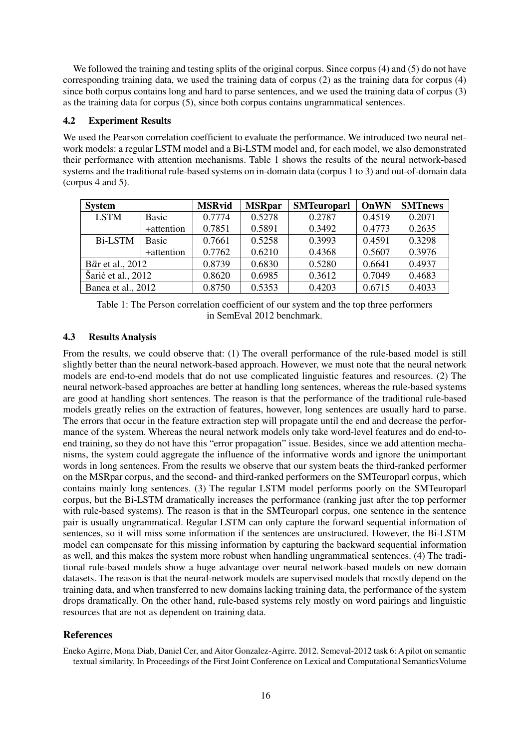We followed the training and testing splits of the original corpus. Since corpus (4) and (5) do not have corresponding training data, we used the training data of corpus (2) as the training data for corpus (4) since both corpus contains long and hard to parse sentences, and we used the training data of corpus (3) as the training data for corpus (5), since both corpus contains ungrammatical sentences.

#### **4.2 Experiment Results**

We used the Pearson correlation coefficient to evaluate the performance. We introduced two neural network models: a regular LSTM model and a Bi-LSTM model and, for each model, we also demonstrated their performance with attention mechanisms. Table 1 shows the results of the neural network-based systems and the traditional rule-based systems on in-domain data (corpus 1 to 3) and out-of-domain data (corpus 4 and 5).

| <b>System</b>      |            | <b>MSRvid</b> | <b>MSRpar</b> | <b>SMTeuroparl</b> | OnWN   | <b>SMTnews</b> |
|--------------------|------------|---------------|---------------|--------------------|--------|----------------|
| <b>LSTM</b>        | Basic      | 0.7774        | 0.5278        | 0.2787             | 0.4519 | 0.2071         |
|                    | +attention | 0.7851        | 0.5891        | 0.3492             | 0.4773 | 0.2635         |
| <b>Bi-LSTM</b>     | Basic      | 0.7661        | 0.5258        | 0.3993             | 0.4591 | 0.3298         |
|                    | +attention | 0.7762        | 0.6210        | 0.4368             | 0.5607 | 0.3976         |
| Bär et al., 2012   |            | 0.8739        | 0.6830        | 0.5280             | 0.6641 | 0.4937         |
| Šarić et al., 2012 |            | 0.8620        | 0.6985        | 0.3612             | 0.7049 | 0.4683         |
| Banea et al., 2012 |            | 0.8750        | 0.5353        | 0.4203             | 0.6715 | 0.4033         |

Table 1: The Person correlation coefficient of our system and the top three performers in SemEval 2012 benchmark.

### **4.3 Results Analysis**

From the results, we could observe that: (1) The overall performance of the rule-based model is still slightly better than the neural network-based approach. However, we must note that the neural network models are end-to-end models that do not use complicated linguistic features and resources. (2) The neural network-based approaches are better at handling long sentences, whereas the rule-based systems are good at handling short sentences. The reason is that the performance of the traditional rule-based models greatly relies on the extraction of features, however, long sentences are usually hard to parse. The errors that occur in the feature extraction step will propagate until the end and decrease the performance of the system. Whereas the neural network models only take word-level features and do end-toend training, so they do not have this "error propagation" issue. Besides, since we add attention mechanisms, the system could aggregate the influence of the informative words and ignore the unimportant words in long sentences. From the results we observe that our system beats the third-ranked performer on the MSRpar corpus, and the second- and third-ranked performers on the SMTeuroparl corpus, which contains mainly long sentences. (3) The regular LSTM model performs poorly on the SMTeuroparl corpus, but the Bi-LSTM dramatically increases the performance (ranking just after the top performer with rule-based systems). The reason is that in the SMTeuroparl corpus, one sentence in the sentence pair is usually ungrammatical. Regular LSTM can only capture the forward sequential information of sentences, so it will miss some information if the sentences are unstructured. However, the Bi-LSTM model can compensate for this missing information by capturing the backward sequential information as well, and this makes the system more robust when handling ungrammatical sentences. (4) The traditional rule-based models show a huge advantage over neural network-based models on new domain datasets. The reason is that the neural-network models are supervised models that mostly depend on the training data, and when transferred to new domains lacking training data, the performance of the system drops dramatically. On the other hand, rule-based systems rely mostly on word pairings and linguistic resources that are not as dependent on training data.

# **References**

Eneko Agirre, Mona Diab, Daniel Cer, and Aitor Gonzalez-Agirre. 2012. Semeval-2012 task 6: A pilot on semantic textual similarity. In Proceedings of the First Joint Conference on Lexical and Computational SemanticsVolume